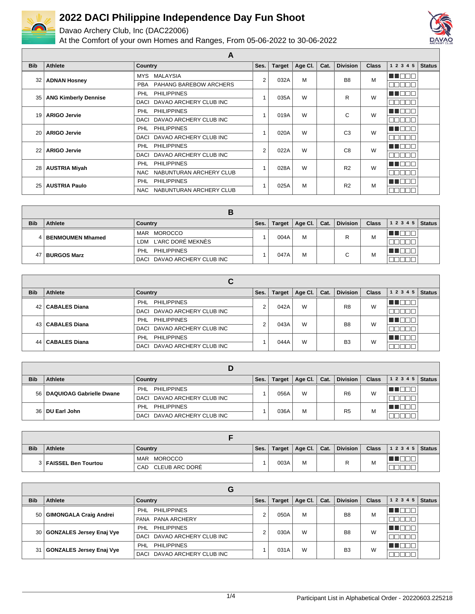

Davao Archery Club, Inc (DAC22006)



|            |                             | A                                |                |               |         |      |                 |              |            |               |
|------------|-----------------------------|----------------------------------|----------------|---------------|---------|------|-----------------|--------------|------------|---------------|
| <b>Bib</b> | Athlete                     | <b>Country</b>                   | Ses.           | <b>Target</b> | Age CI. | Cat. | <b>Division</b> | <b>Class</b> | 1 2 3 4 5  | <b>Status</b> |
| 32         | <b>ADNAN Hosney</b>         | <b>MALAYSIA</b><br><b>MYS</b>    | $\overline{2}$ | 032A          | M       |      | B <sub>8</sub>  | M            | T Ol<br>┓  |               |
|            |                             | PAHANG BAREBOW ARCHERS<br>PBA    |                |               |         |      |                 |              | ⊐<br>┓     |               |
| 35         |                             | <b>PHILIPPINES</b><br><b>PHL</b> |                | 035A          | W       |      | R               | W            | TEEL       |               |
|            | <b>ANG Kimberly Dennise</b> | DAVAO ARCHERY CLUB INC<br>DACI   |                |               |         |      |                 |              | ┐<br>┓     |               |
| 19         | <b>ARIGO Jervie</b>         | <b>PHILIPPINES</b><br><b>PHL</b> |                | 019A          | W       |      | C               | W            | T FIT<br>┓ |               |
|            |                             | DAVAO ARCHERY CLUB INC<br>DACI   |                |               |         |      |                 |              | 30C<br>╗   |               |
| 20         | <b>ARIGO Jervie</b>         | <b>PHILIPPINES</b><br>PHL        |                | 020A          | W       |      | C <sub>3</sub>  | W            | n de l     |               |
|            |                             | DAVAO ARCHERY CLUB INC<br>DACI   |                |               |         |      |                 |              | 300<br>⊐   |               |
| 22         | <b>ARIGO Jervie</b>         | <b>PHILIPPINES</b><br>PHL        | $\overline{2}$ | 022A          | W       |      | C <sub>8</sub>  | W            | TEL<br>┓   |               |
|            |                             | DAVAO ARCHERY CLUB INC<br>DACI   |                |               |         |      |                 |              | ╗          |               |
| 28         |                             | <b>PHL</b><br><b>PHILIPPINES</b> |                | 028A          | W       |      | R <sub>2</sub>  | W            | MA DE L    |               |
|            | <b>AUSTRIA Miyah</b>        | NABUNTURAN ARCHERY CLUB<br>NAC   |                |               |         |      |                 |              | 100I<br>┒  |               |
| 25         | <b>AUSTRIA Paulo</b>        | <b>PHILIPPINES</b><br><b>PHL</b> |                |               | M       |      | R <sub>2</sub>  | M            | TENT       |               |
|            |                             | NABUNTURAN ARCHERY CLUB<br>NAC . |                | 025A          |         |      |                 |              |            |               |

|            |                    | E<br>D                      |      |               |             |      |                 |              |       |               |
|------------|--------------------|-----------------------------|------|---------------|-------------|------|-----------------|--------------|-------|---------------|
| <b>Bib</b> | <b>Athlete</b>     | Country                     | Ses. | <b>Target</b> | $'$ Age Cl. | Cat. | <b>Division</b> | <b>Class</b> | 12345 | <b>Status</b> |
|            | BENMOUMEN Mhamed   | <b>MOROCCO</b><br>MAR       |      | 004A          | M           |      | ▫               | M            |       |               |
|            |                    | LDM L'ARC DORÉ MEKNÈS       |      |               |             |      |                 |              |       |               |
|            | <b>BURGOS Marz</b> | PHL PHILIPPINES             |      | 047A          | M           |      | $\sim$          | M            |       |               |
|            |                    | DACI DAVAO ARCHERY CLUB INC |      |               |             |      | ີ               |              |       |               |

|            |                      | u                                |      |               |         |      |                 |       |                        |  |
|------------|----------------------|----------------------------------|------|---------------|---------|------|-----------------|-------|------------------------|--|
| <b>Bib</b> | Athlete              | Country                          | Ses. | <b>Target</b> | Age Cl. | Cat. | <b>Division</b> | Class | $1\ 2\ 3\ 4\ 5$ Status |  |
|            | 42   CABALES Diana   | <b>PHILIPPINES</b><br>PHL        | c    | 042A          | W       |      | R <sub>8</sub>  | W     |                        |  |
|            |                      | DACI DAVAO ARCHERY CLUB INC      |      |               |         |      |                 |       |                        |  |
|            | 43   CABALES Diana   | <b>PHILIPPINES</b><br>PHL        | c    | 043A          | W       |      | B <sub>8</sub>  | W     | .                      |  |
|            |                      | DACI DAVAO ARCHERY CLUB INC      |      |               |         |      |                 |       |                        |  |
| 44         | <b>CABALES Diana</b> | <b>PHILIPPINES</b><br><b>PHL</b> |      | 044A          | W       |      | B <sub>3</sub>  | W     | - 11 - 11              |  |
|            |                      | DAVAO ARCHERY CLUB INC<br>DACI   |      |               |         |      |                 |       |                        |  |

| <b>Bib</b> | Athlete                       | Country                     | Ses. | Target | Age Cl. | Cat. | <b>Division</b> | <b>Class</b> | $12345$ Status |  |  |
|------------|-------------------------------|-----------------------------|------|--------|---------|------|-----------------|--------------|----------------|--|--|
|            |                               | PHL PHILIPPINES             |      |        | W       |      |                 | W            |                |  |  |
|            | 56   DAQUIOAG Gabrielle Dwane | DACI DAVAO ARCHERY CLUB INC |      | 056A   |         |      | R <sub>6</sub>  |              |                |  |  |
|            |                               | PHILIPPINES<br>PHL          |      | 036A   | M       |      | R <sub>5</sub>  | M            |                |  |  |
|            | 36 DU Earl John               | DACI DAVAO ARCHERY CLUB INC |      |        |         |      |                 |              |                |  |  |

| <b>Bib</b> | Athlete                 | Country                      | Ses. | Target | Age Cl.   Cat. | <b>Division</b> | <b>Class</b> | $1 2 3 4 5$ Status |  |
|------------|-------------------------|------------------------------|------|--------|----------------|-----------------|--------------|--------------------|--|
|            | 3   FAISSEL Ben Tourtou | <b>MOROCCO</b><br><b>MAR</b> |      | 003A   | M              | R               | M            | ___                |  |
|            |                         | CAD CLEUB ARC DORÉ           |      |        |                |                 |              |                    |  |

|                 |                                 | G                              |        |               |                |      |                 |              |           |               |
|-----------------|---------------------------------|--------------------------------|--------|---------------|----------------|------|-----------------|--------------|-----------|---------------|
| <b>Bib</b>      | <b>Athlete</b>                  | Country                        | Ses.   | <b>Target</b> | <b>Age Cl.</b> | Cat. | <b>Division</b> | <b>Class</b> | 1 2 3 4 5 | <b>Status</b> |
| 50 l            | GIMONGALA Craig Andrei          | <b>PHILIPPINES</b><br>PHL      | $\sim$ | 050A          | M              |      | B <sub>8</sub>  | M            | TE E E    |               |
|                 |                                 | PANA ARCHERY<br>PANA           |        |               |                |      |                 |              |           |               |
| 30 I            | GONZALES Jersey Enaj Vye        | <b>PHILIPPINES</b><br>PHL      |        | 030A          | W              |      | B <sub>8</sub>  | W            | THEEL     |               |
|                 |                                 | DAVAO ARCHERY CLUB INC<br>DACI |        |               |                |      |                 |              |           |               |
| 31 <sup>1</sup> | <b>GONZALES Jersey Enaj Vye</b> | <b>PHILIPPINES</b><br>PHL      |        | 031A          | W              |      | B <sub>3</sub>  | W            | TE ELECT  |               |
|                 |                                 | DAVAO ARCHERY CLUB INC<br>DACI |        |               |                |      |                 |              |           |               |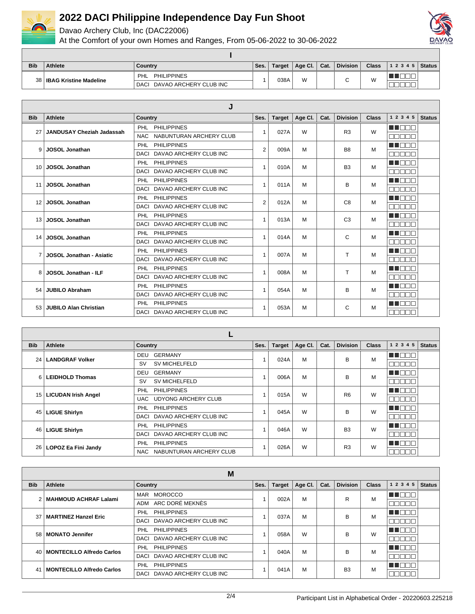

Davao Archery Club, Inc (DAC22006)



| <b>Bib</b> | <b>Athlete</b>              | Country                        | Ses. | Target | Age Cl. | Cat. | <b>Division</b> | <b>Class</b> | 12345 | Status I |
|------------|-----------------------------|--------------------------------|------|--------|---------|------|-----------------|--------------|-------|----------|
|            | 38   IBAG Kristine Madeline | <b>PHILIPPINES</b><br>PHL      |      | 038A   | W       |      | ⌒               | M            |       |          |
|            |                             | DAVAO ARCHERY CLUB INC<br>DACI |      |        |         |      |                 |              |       |          |

|                 |                                  | J                                     |                |               |         |      |                 |              |           |               |
|-----------------|----------------------------------|---------------------------------------|----------------|---------------|---------|------|-----------------|--------------|-----------|---------------|
| <b>Bib</b>      | Athlete                          | Country                               | Ses.           | <b>Target</b> | Age Cl. | Cat. | <b>Division</b> | <b>Class</b> | 1 2 3 4 5 | <b>Status</b> |
| 27              | <b>JANDUSAY Cheziah Jadassah</b> | PHL PHILIPPINES                       | 1              | 027A          | W       |      | R <sub>3</sub>  | W            | a di Dici |               |
|                 |                                  | <b>NAC</b><br>NABUNTURAN ARCHERY CLUB |                |               |         |      |                 |              | nnnnn     |               |
| 9               | <b>JOSOL Jonathan</b>            | PHL PHILIPPINES                       | $\overline{2}$ | 009A          | M       |      | B <sub>8</sub>  | M            | MA NA T   |               |
|                 |                                  | DACI DAVAO ARCHERY CLUB INC           |                |               |         |      |                 |              | nnnnr     |               |
| 10 <sup>1</sup> | <b>JOSOL Jonathan</b>            | PHL PHILIPPINES                       | 1              | 010A          | M       |      | B <sub>3</sub>  | M            | MA DO D   |               |
|                 |                                  | DACI DAVAO ARCHERY CLUB INC           |                |               |         |      |                 |              | nnnnn     |               |
| 11              | <b>JOSOL Jonathan</b>            | PHL PHILIPPINES                       | $\mathbf{1}$   | 011A          | M       |      | B               | M            | MA DO D   |               |
|                 |                                  | DACI DAVAO ARCHERY CLUB INC           |                |               |         |      |                 |              | nnnnr     |               |
| 12              | <b>JOSOL Jonathan</b>            | PHL PHILIPPINES                       | $\overline{2}$ | 012A          | M       |      | C <sub>8</sub>  | M            | TIN TINT  |               |
|                 |                                  | DACI DAVAO ARCHERY CLUB INC           |                |               |         |      |                 |              | nnnn      |               |
| 13              | <b>JOSOL Jonathan</b>            | PHL PHILIPPINES                       | 1              | 013A          | M       |      | C <sub>3</sub>  | M            | MA DO D   |               |
|                 |                                  | DACI DAVAO ARCHERY CLUB INC           |                |               |         |      |                 |              | nnnn      |               |
| 14              | <b>JOSOL Jonathan</b>            | PHL PHILIPPINES                       | 1              | 014A          | M       |      | C               | M            | MA DELT   |               |
|                 |                                  | DACI DAVAO ARCHERY CLUB INC           |                |               |         |      |                 |              | mmmmm     |               |
| $\overline{7}$  | <b>JOSOL Jonathan - Asiatic</b>  | PHL PHILIPPINES                       | $\overline{1}$ | 007A          | M       |      | T               | M            | MA DO D   |               |
|                 |                                  | DACI DAVAO ARCHERY CLUB INC           |                |               |         |      |                 |              | nnnnr     |               |
| 8               | JOSOL Jonathan - ILF             | PHL PHILIPPINES                       |                | 008A          | M       |      | т               | м            | MA DO C   |               |
|                 |                                  | DACI DAVAO ARCHERY CLUB INC           |                |               |         |      |                 |              | nnnnn     |               |
| 54              | JUBILO Abraham                   | PHL PHILIPPINES                       |                | 054A          | M       |      | B               | м            | ma mar    |               |
|                 |                                  | DACI DAVAO ARCHERY CLUB INC           |                |               |         |      |                 |              | nnnnn     |               |
|                 | 53 JUBILO Alan Christian         | PHL PHILIPPINES                       |                | 053A          | M       |      | C               | м            | UN FIFIT  |               |
|                 |                                  | DACI DAVAO ARCHERY CLUB INC           |                |               |         |      |                 |              | mmmmm     |               |

| <b>Bib</b>      | Athlete                    | <b>Country</b>                        | Ses. | <b>Target</b> | Age Cl. | Cat. | <b>Division</b> | <b>Class</b> | 1 2 3 4 5       | <b>Status</b> |
|-----------------|----------------------------|---------------------------------------|------|---------------|---------|------|-----------------|--------------|-----------------|---------------|
| 24 <sub>1</sub> | <b>LANDGRAF Volker</b>     | <b>GERMANY</b><br>DEU                 |      | 024A          | M       |      | в               | M            | man man         |               |
|                 |                            | <b>SV MICHELFELD</b><br><b>SV</b>     |      |               |         |      |                 |              | חר<br>┓<br>╖    |               |
| 6               | <b>LEIDHOLD Thomas</b>     | DEU<br>GERMANY                        |      | 006A          | M       |      | в               | M            | MT DE L         |               |
|                 |                            | <b>SV MICHELFELD</b><br><b>SV</b>     |      |               |         |      |                 |              | ⊐<br>┒ŗ         |               |
| 15              | <b>LICUDAN Irish Angel</b> | <b>PHILIPPINES</b><br><b>PHL</b>      |      | 015A          | W       |      | R <sub>6</sub>  | W            | MA DEL          |               |
|                 |                            | UDYONG ARCHERY CLUB<br>UAC            |      |               |         |      |                 |              | ┓<br>- II       |               |
| 45              | <b>LIGUE Shirlyn</b>       | <b>PHILIPPINES</b><br>PHL             |      | 045A          | W       |      | B               | W            | <b>HELL BE</b>  |               |
|                 |                            | DAVAO ARCHERY CLUB INC<br><b>DACI</b> |      |               |         |      |                 |              | ┓<br>╖<br>חר    |               |
| 46              | <b>LIGUE Shirlyn</b>       | <b>PHILIPPINES</b><br><b>PHL</b>      |      | 046A          | W       |      | <b>B3</b>       | W            | MA DE L         |               |
|                 |                            | DAVAO ARCHERY CLUB INC<br><b>DACI</b> |      |               |         |      |                 |              | ┓<br>חר<br>╗    |               |
| 26 <sub>1</sub> | LOPOZ Ea Fini Jandy        | <b>PHILIPPINES</b><br><b>PHL</b>      |      | 026A          | W       |      | R <sub>3</sub>  | W            | <b>MNO</b> OF   |               |
|                 |                            | NABUNTURAN ARCHERY CLUB<br><b>NAC</b> |      |               |         |      |                 |              | ┓<br>חר<br>- 11 |               |

|            | M                                |                                  |      |        |         |      |                 |              |           |               |
|------------|----------------------------------|----------------------------------|------|--------|---------|------|-----------------|--------------|-----------|---------------|
| <b>Bib</b> | Athlete                          | Country                          | Ses. | Target | Age Cl. | Cat. | <b>Division</b> | <b>Class</b> | 1 2 3 4 5 | <b>Status</b> |
|            | 2 MAHMOUD ACHRAF Lalami          | <b>MOROCCO</b><br>MAR            |      | 002A   | M       |      | R               | M            | - 1 M     |               |
|            |                                  | ADM ARC DORÉ MEKNÈS              |      |        |         |      |                 |              |           |               |
|            | 37   MARTINEZ Hanzel Eric        | <b>PHL</b><br><b>PHILIPPINES</b> |      | 037A   | M       |      | в               | м            | HI N      |               |
|            |                                  | DACI DAVAO ARCHERY CLUB INC      |      |        |         |      |                 |              | - 11      |               |
|            | 58   MONATO Jennifer             | <b>PHILIPPINES</b><br><b>PHL</b> |      | 058A   | W       |      | в               | W            | 1 I D     |               |
|            |                                  | DACI DAVAO ARCHERY CLUB INC      |      |        |         |      |                 |              |           |               |
|            | 40   MONTECILLO Alfredo Carlos   | <b>PHILIPPINES</b><br>PHL        |      | 040A   | M       |      | B               | м            | T N       |               |
|            |                                  | DACI DAVAO ARCHERY CLUB INC      |      |        |         |      |                 |              |           |               |
| 41         | <b>MONTECILLO Alfredo Carlos</b> | <b>PHILIPPINES</b><br>PHL        |      |        | M       |      | B <sub>3</sub>  | м            | T E E     |               |
|            |                                  | DACI DAVAO ARCHERY CLUB INC      |      | 041A   |         |      |                 |              | 38 E C    |               |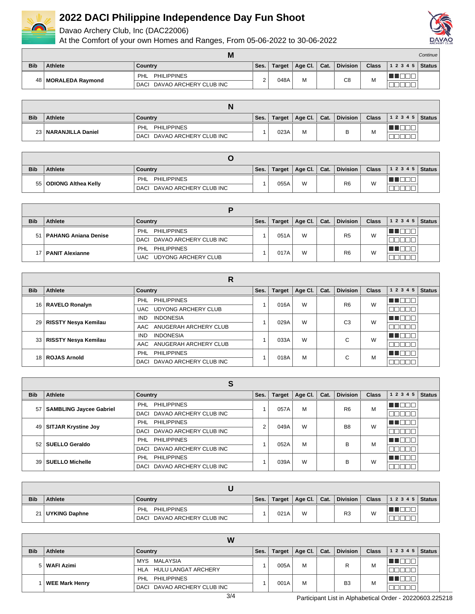

Davao Archery Club, Inc (DAC22006)



|            |                       | M                              |      |               |                     |      |                 |       |                | Continue |
|------------|-----------------------|--------------------------------|------|---------------|---------------------|------|-----------------|-------|----------------|----------|
| <b>Bib</b> | <b>Athlete</b>        | Country                        | Ses. | <b>Target</b> | Age Cl. $\parallel$ | Cat. | <b>Division</b> | Class | $12345$ Status |          |
|            | 48   MORALEDA Raymond | <b>PHILIPPINES</b><br>PHL      | ⌒    | 048A          | М                   |      | C <sub>8</sub>  |       |                |          |
|            |                       | DAVAO ARCHERY CLUB INC<br>DACI |      |               |                     |      |                 | IVI   |                |          |

| <b>Bib</b> | <b>Athlete</b>         | Country                     | Ses. | Target | Age Cl.   Cat. | Division | <b>Class</b> | $ 12345 $ Status |  |
|------------|------------------------|-----------------------------|------|--------|----------------|----------|--------------|------------------|--|
|            | 23   NARANJILLA Daniel | <b>PHILIPPINES</b><br>PHL   |      | 023A   | М              | ₽        |              |                  |  |
|            |                        | DACI DAVAO ARCHERY CLUB INC |      |        |                | ◡        | IVI          |                  |  |

| <b>Bib</b> | Athlete                  | Country                     | Ses. | Target | Age Cl. $\vert$ Cat. |  | <b>Division</b> | <b>Class</b> | $12345$ Status |  |
|------------|--------------------------|-----------------------------|------|--------|----------------------|--|-----------------|--------------|----------------|--|
|            | 55   ODIONG Althea Kelly | <b>PHILIPPINES</b><br>PHL   |      |        | W                    |  | R <sub>6</sub>  | W            |                |  |
|            |                          | DACI DAVAO ARCHERY CLUB INC |      | 055A   |                      |  |                 |              |                |  |

| <b>Bib</b> | <b>Athlete</b>              | Country                           | Ses. | <b>Target</b> | Age Cl. | Cat. | <b>Division</b> | <b>Class</b> | 12345 | <b>Status</b> |  |
|------------|-----------------------------|-----------------------------------|------|---------------|---------|------|-----------------|--------------|-------|---------------|--|
| 51         | <b>PAHANG Aniana Denise</b> | PHL PHILIPPINES                   |      | 051A          | W       |      | R <sub>5</sub>  | W            |       |               |  |
|            |                             | DACI DAVAO ARCHERY CLUB INC       |      |               |         |      |                 |              |       |               |  |
|            | 17   PANIT Alexianne        | PHILIPPINES<br>PHL                |      | 017A          | W       |      | R <sub>6</sub>  | W            |       |               |  |
|            |                             | <b>UDYONG ARCHERY CLUB</b><br>UAC |      |               |         |      |                 |              |       |               |  |

| R          |                           |                                |      |               |         |      |                 |              |           |               |
|------------|---------------------------|--------------------------------|------|---------------|---------|------|-----------------|--------------|-----------|---------------|
| <b>Bib</b> | Athlete                   | Country                        | Ses. | <b>Target</b> | Age CI. | Cat. | <b>Division</b> | <b>Class</b> | 1 2 3 4 5 | <b>Status</b> |
|            |                           | PHL<br><b>PHILIPPINES</b>      |      | 016A          | W       |      | R <sub>6</sub>  | W            |           |               |
|            | 16   RAVELO Ronalyn       | UAC UDYONG ARCHERY CLUB        |      |               |         |      |                 |              |           |               |
|            | 29   RISSTY Nesya Kemilau | <b>INDONESIA</b><br><b>IND</b> |      | 029A          | W       |      | C <sub>3</sub>  | W            |           |               |
|            |                           | AAC ANUGERAH ARCHERY CLUB      |      |               |         |      |                 |              |           |               |
|            | 33   RISSTY Nesya Kemilau | <b>INDONESIA</b><br><b>IND</b> |      | 033A          | W       |      | ⌒               | W            |           |               |
|            |                           | AAC ANUGERAH ARCHERY CLUB      |      |               |         |      | U               |              |           |               |
|            | 18 ROJAS Arnold           | PHL PHILIPPINES                |      | 018A          |         | M    | ⌒<br>U          | M            |           |               |
|            |                           | DACI DAVAO ARCHERY CLUB INC    |      |               |         |      |                 |              |           |               |

|            | e<br>Ð                         |                             |            |               |           |      |                 |              |                                 |               |  |
|------------|--------------------------------|-----------------------------|------------|---------------|-----------|------|-----------------|--------------|---------------------------------|---------------|--|
| <b>Bib</b> | Athlete                        | Country                     | Ses.       | <b>Target</b> | Age CI.   | Cat. | <b>Division</b> | <b>Class</b> | 1 2 3 4 5                       | <b>Status</b> |  |
| 57 I       |                                | <b>PHILIPPINES</b><br>PHL   |            | 057A          | M         |      | R <sub>6</sub>  | м            | $\blacksquare$ $\Box$<br>- III. |               |  |
|            | <b>SAMBLING Jaycee Gabriel</b> | DACI DAVAO ARCHERY CLUB INC |            |               |           |      |                 |              | Π<br>$\mathbb{R}$               |               |  |
|            | 49 SITJAR Krystine Joy         | <b>PHILIPPINES</b><br>PHL   | $\sqrt{2}$ | 049A          | W         |      | B <sub>8</sub>  | W            | T FT                            |               |  |
|            |                                | DACI DAVAO ARCHERY CLUB INC |            |               |           |      |                 |              | ┒<br>- II                       |               |  |
|            | 52 SUELLO Geraldo              | <b>PHILIPPINES</b><br>PHL   |            | 052A          | M         |      | B               | M            | THE EL                          |               |  |
|            |                                | DACI DAVAO ARCHERY CLUB INC |            |               |           |      |                 |              | - 11 -<br>- 11                  |               |  |
|            | <b>SUELLO Michelle</b>         | <b>PHILIPPINES</b><br>PHL   |            |               | W<br>039A |      | в               | W            |                                 |               |  |
| 39 I       |                                | DACI DAVAO ARCHERY CLUB INC |            |               |           |      |                 |              |                                 |               |  |

| <b>Bib</b> | <b>Athlete</b>     | Country                     | Ses. | <b>Target</b> | $\Box$ Age Cl. $\Box$ Cat. |  | <b>Division</b> | <b>Class</b> | $12345$ Status |  |
|------------|--------------------|-----------------------------|------|---------------|----------------------------|--|-----------------|--------------|----------------|--|
|            | 21   UYKING Daphne | <b>PHILIPPINES</b><br>PHL   |      |               | W                          |  | R <sub>3</sub>  |              |                |  |
|            |                    | DACI DAVAO ARCHERY CLUB INC |      | 021A          |                            |  |                 |              | $- - -$        |  |

|            | W                     |                             |        |        |         |      |                 |              |       |        |  |
|------------|-----------------------|-----------------------------|--------|--------|---------|------|-----------------|--------------|-------|--------|--|
| <b>Bib</b> | Athlete               | Country                     | Ses. I | Target | Age Cl. | Cat. | <b>Division</b> | <b>Class</b> | 12345 | Status |  |
|            | 5   WAFI Azimi        | MYS MALAYSIA                |        | 005A   | M       |      |                 | M            | .     |        |  |
|            |                       | HLA HULU LANGAT ARCHERY     |        |        |         |      |                 |              |       |        |  |
|            | <b>WEE Mark Henry</b> | PHL PHILIPPINES             |        | 001A   |         | м    | B <sub>3</sub>  | M            | TOOL  |        |  |
|            |                       | DACI DAVAO ARCHERY CLUB INC |        |        |         |      |                 |              |       |        |  |